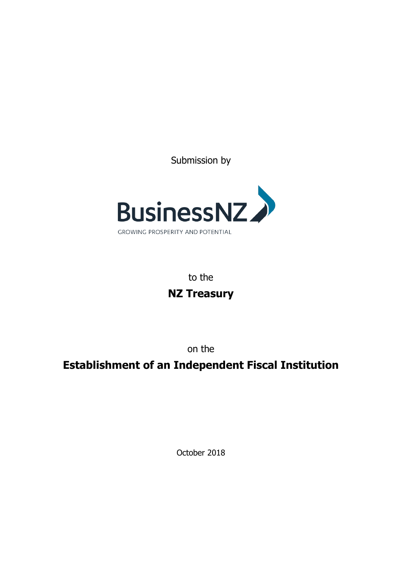Submission by



to the **NZ Treasury**

on the

# **Establishment of an Independent Fiscal Institution**

October 2018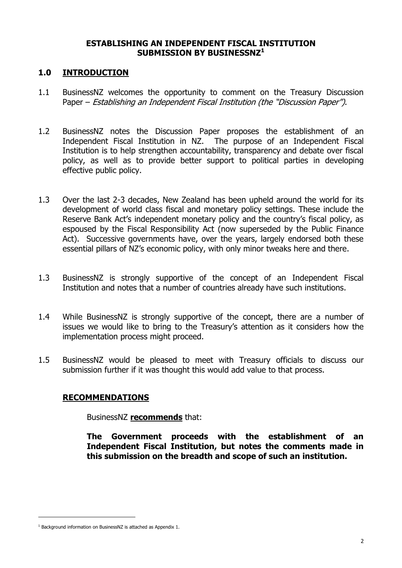## **ESTABLISHING AN INDEPENDENT FISCAL INSTITUTION SUBMISSION BY BUSINESSNZ<sup>1</sup>**

## **1.0 INTRODUCTION**

- 1.1 BusinessNZ welcomes the opportunity to comment on the Treasury Discussion Paper – Establishing an Independent Fiscal Institution (the "Discussion Paper").
- 1.2 BusinessNZ notes the Discussion Paper proposes the establishment of an Independent Fiscal Institution in NZ. The purpose of an Independent Fiscal Institution is to help strengthen accountability, transparency and debate over fiscal policy, as well as to provide better support to political parties in developing effective public policy.
- 1.3 Over the last 2-3 decades, New Zealand has been upheld around the world for its development of world class fiscal and monetary policy settings. These include the Reserve Bank Act's independent monetary policy and the country's fiscal policy, as espoused by the Fiscal Responsibility Act (now superseded by the Public Finance Act). Successive governments have, over the years, largely endorsed both these essential pillars of NZ's economic policy, with only minor tweaks here and there.
- 1.3 BusinessNZ is strongly supportive of the concept of an Independent Fiscal Institution and notes that a number of countries already have such institutions.
- 1.4 While BusinessNZ is strongly supportive of the concept, there are a number of issues we would like to bring to the Treasury's attention as it considers how the implementation process might proceed.
- 1.5 BusinessNZ would be pleased to meet with Treasury officials to discuss our submission further if it was thought this would add value to that process.

## **RECOMMENDATIONS**

BusinessNZ **recommends** that:

**The Government proceeds with the establishment of an Independent Fiscal Institution, but notes the comments made in this submission on the breadth and scope of such an institution.**

j

<sup>&</sup>lt;sup>1</sup> Background information on BusinessNZ is attached as Appendix 1.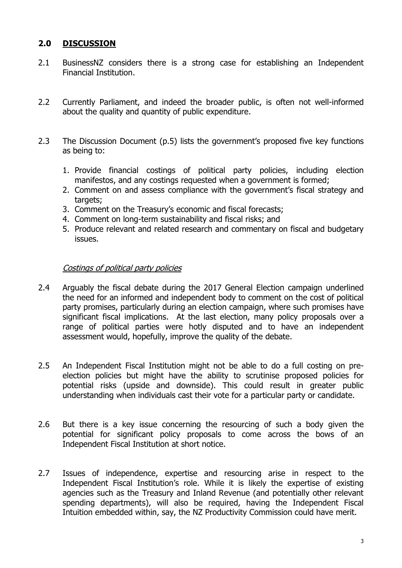# **2.0 DISCUSSION**

- 2.1 BusinessNZ considers there is a strong case for establishing an Independent Financial Institution.
- 2.2 Currently Parliament, and indeed the broader public, is often not well-informed about the quality and quantity of public expenditure.
- 2.3 The Discussion Document (p.5) lists the government's proposed five key functions as being to:
	- 1. Provide financial costings of political party policies, including election manifestos, and any costings requested when a government is formed;
	- 2. Comment on and assess compliance with the government's fiscal strategy and targets;
	- 3. Comment on the Treasury's economic and fiscal forecasts;
	- 4. Comment on long-term sustainability and fiscal risks; and
	- 5. Produce relevant and related research and commentary on fiscal and budgetary issues.

## Costings of political party policies

- 2.4 Arguably the fiscal debate during the 2017 General Election campaign underlined the need for an informed and independent body to comment on the cost of political party promises, particularly during an election campaign, where such promises have significant fiscal implications. At the last election, many policy proposals over a range of political parties were hotly disputed and to have an independent assessment would, hopefully, improve the quality of the debate.
- 2.5 An Independent Fiscal Institution might not be able to do a full costing on preelection policies but might have the ability to scrutinise proposed policies for potential risks (upside and downside). This could result in greater public understanding when individuals cast their vote for a particular party or candidate.
- 2.6 But there is a key issue concerning the resourcing of such a body given the potential for significant policy proposals to come across the bows of an Independent Fiscal Institution at short notice.
- 2.7 Issues of independence, expertise and resourcing arise in respect to the Independent Fiscal Institution's role. While it is likely the expertise of existing agencies such as the Treasury and Inland Revenue (and potentially other relevant spending departments), will also be required, having the Independent Fiscal Intuition embedded within, say, the NZ Productivity Commission could have merit.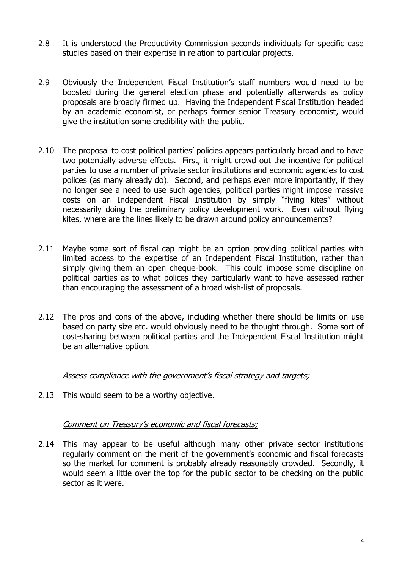- 2.8 It is understood the Productivity Commission seconds individuals for specific case studies based on their expertise in relation to particular projects.
- 2.9 Obviously the Independent Fiscal Institution's staff numbers would need to be boosted during the general election phase and potentially afterwards as policy proposals are broadly firmed up. Having the Independent Fiscal Institution headed by an academic economist, or perhaps former senior Treasury economist, would give the institution some credibility with the public.
- 2.10 The proposal to cost political parties' policies appears particularly broad and to have two potentially adverse effects. First, it might crowd out the incentive for political parties to use a number of private sector institutions and economic agencies to cost polices (as many already do). Second, and perhaps even more importantly, if they no longer see a need to use such agencies, political parties might impose massive costs on an Independent Fiscal Institution by simply "flying kites" without necessarily doing the preliminary policy development work. Even without flying kites, where are the lines likely to be drawn around policy announcements?
- 2.11 Maybe some sort of fiscal cap might be an option providing political parties with limited access to the expertise of an Independent Fiscal Institution, rather than simply giving them an open cheque-book. This could impose some discipline on political parties as to what polices they particularly want to have assessed rather than encouraging the assessment of a broad wish-list of proposals.
- 2.12 The pros and cons of the above, including whether there should be limits on use based on party size etc. would obviously need to be thought through. Some sort of cost-sharing between political parties and the Independent Fiscal Institution might be an alternative option.

#### Assess compliance with the government's fiscal strategy and targets;

2.13 This would seem to be a worthy objective.

#### Comment on Treasury's economic and fiscal forecasts;

2.14 This may appear to be useful although many other private sector institutions regularly comment on the merit of the government's economic and fiscal forecasts so the market for comment is probably already reasonably crowded. Secondly, it would seem a little over the top for the public sector to be checking on the public sector as it were.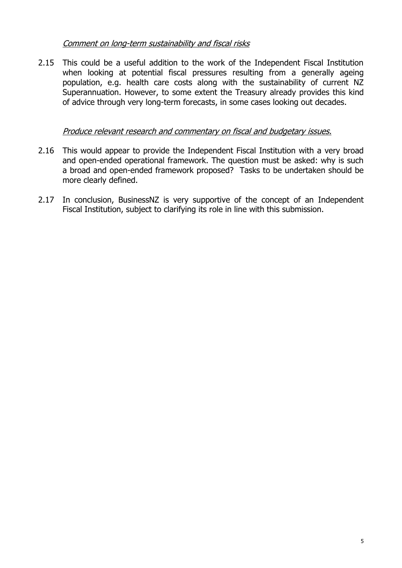# Comment on long-term sustainability and fiscal risks

2.15 This could be a useful addition to the work of the Independent Fiscal Institution when looking at potential fiscal pressures resulting from a generally ageing population, e.g. health care costs along with the sustainability of current NZ Superannuation. However, to some extent the Treasury already provides this kind of advice through very long-term forecasts, in some cases looking out decades.

## Produce relevant research and commentary on fiscal and budgetary issues.

- 2.16 This would appear to provide the Independent Fiscal Institution with a very broad and open-ended operational framework. The question must be asked: why is such a broad and open-ended framework proposed? Tasks to be undertaken should be more clearly defined.
- 2.17 In conclusion, BusinessNZ is very supportive of the concept of an Independent Fiscal Institution, subject to clarifying its role in line with this submission.